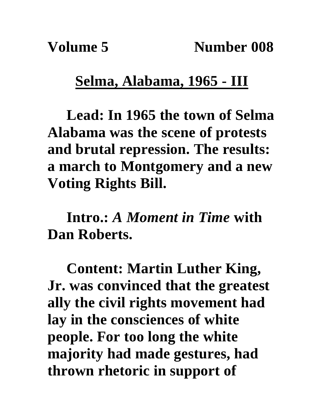## **Selma, Alabama, 1965 - III**

**Lead: In 1965 the town of Selma Alabama was the scene of protests and brutal repression. The results: a march to Montgomery and a new Voting Rights Bill.**

**Intro.:** *A Moment in Time* **with Dan Roberts.**

**Content: Martin Luther King, Jr. was convinced that the greatest ally the civil rights movement had lay in the consciences of white people. For too long the white majority had made gestures, had thrown rhetoric in support of**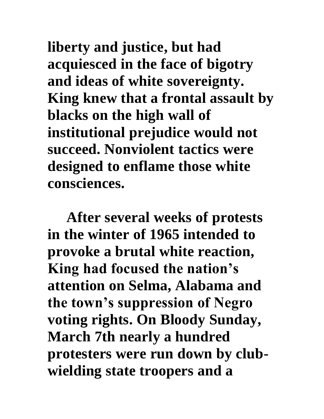**liberty and justice, but had acquiesced in the face of bigotry and ideas of white sovereignty. King knew that a frontal assault by blacks on the high wall of institutional prejudice would not succeed. Nonviolent tactics were designed to enflame those white consciences.**

**After several weeks of protests in the winter of 1965 intended to provoke a brutal white reaction, King had focused the nation's attention on Selma, Alabama and the town's suppression of Negro voting rights. On Bloody Sunday, March 7th nearly a hundred protesters were run down by clubwielding state troopers and a**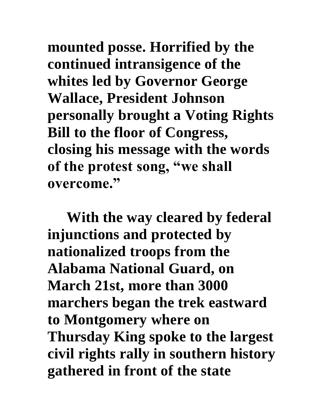**mounted posse. Horrified by the continued intransigence of the whites led by Governor George Wallace, President Johnson personally brought a Voting Rights Bill to the floor of Congress, closing his message with the words of the protest song, "we shall overcome."**

**With the way cleared by federal injunctions and protected by nationalized troops from the Alabama National Guard, on March 21st, more than 3000 marchers began the trek eastward to Montgomery where on Thursday King spoke to the largest civil rights rally in southern history gathered in front of the state**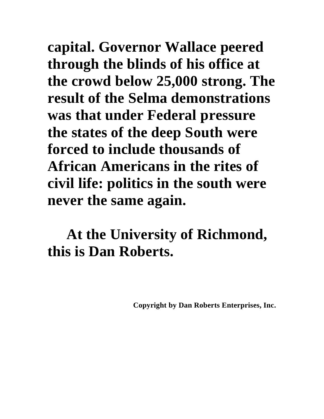**capital. Governor Wallace peered through the blinds of his office at the crowd below 25,000 strong. The result of the Selma demonstrations was that under Federal pressure the states of the deep South were forced to include thousands of African Americans in the rites of civil life: politics in the south were never the same again.**

## **At the University of Richmond, this is Dan Roberts.**

**Copyright by Dan Roberts Enterprises, Inc.**